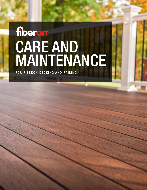# floeron CARE AND MAINTENANCE

FOR FIBERON DECKING AND RAILING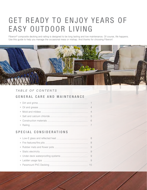# GET READY TO ENJOY YEARS OF EASY OUTDOOR LIVING

Fiberon<sup>®</sup> composite decking and railing is designed to be long lasting and low maintenance. Of course, life happens. Use this guide to help you manage the occasional mess or mishap. And thanks for choosing Fiberon!



### *TABLE OF CONTENTS*

# GENERAL CARE AND MAINTENANCE

# SPECIAL CONSIDERATIONS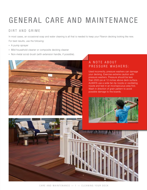# GENERAL CARE AND MAINTENANCE

# DIRT AND GRIME

In most cases, an occasional soap and water cleaning is all that is needed to keep your Fiberon decking looking like new. For best results, use the following:

- º A pump sprayer
- º Mild household cleaner or composite decking cleaner
- º Non-metal scrub brush (with extension handle, if possible).

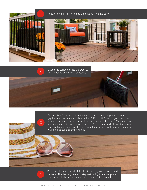

3

Sweep the surface or use a blower to **2** Sweep the surface or use a blower to remove loose debris such as leaves.



Clean debris from the spaces between boards to ensure proper drainage. If the gap between decking boards is less than 3/16 inch (4.8 mm), organic debris such as leaves, seeds, or pollen can settle on the deck and clog gaps. Water can pool, steeping organic debris. This will result in a "tea" or tannin which could stain your decking. Standing water could also cause the boards to swell, resulting in cracking, warping, and cupping of the material.



If you are cleaning your deck in direct sunlight, work in very small sections. The decking needs to stay wet during the entire process to allow for all dirt and soap residue to be rinsed off completely.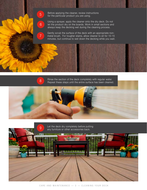Before applying the cleaner, review instructions for the particular product you are using.

6

5

7

Using a sprayer, apply the cleaner onto the dry deck. Do not let the product dry on the boards. Work in small sections and always keep the decking wet during the cleaning process.

Gently scrub the surface of the deck with an appropriate nonmetal brush. For tougher stains, allow cleaner to sit for 10-15 minutes, but continue to wet down the decking while you wait.

Rinse the section of the deck completely with regular water. Repeat these steps until the entire surface has been cleaned.<br>Repeat these steps until the entire surface has been cleaned.



Let the deck dry completely before putting **9** Let the deck dry completely before putting the accessories back.

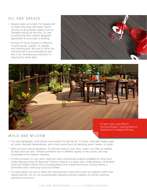# OIL AND GREASE

- º Speedy clean-up is best. For grease and oil stains that soap and water cannot remove, an all-purpose cleaner such as Fantastik should do the trick. Or, use a commercial deck cleaner designed specifically for your type of decking.
- º De-Solv-It® Citrus Solution is effective in removing tar, asphalt, oil, grease, and chewing gum. Be sure to follow the manufacturer's recommendations and test in an inconspicuous area prior to cleaning the entire deck.





Technical Bulletin: Cleaning Mold on Capped and Uncapped Decking.

### MOLD AND MILDEW

- º Tiny and lightweight, mold spores travel easily through the air. To thrive, mold and mildew need air, water, elevated temperatures, and a food source such as decaying wood, leaves, or pollen.
- º Mold can grow almost anywhere. To minimize mold on your deck, clean it as often as needed, at least once per year. Climate conditions vary in different regions of the country and may necessitate more frequent cleaning.
- º If mold is present on your deck, there are many commercial products available for removing it. Collier Manufacturing 30-Seconds® Outdoor Cleaner is a heavy duty, mildly alkaline, chlorinated mold and mildew cleaner that is biodegradable once rinsed into the soil. During testing, it performed well in removing mold and mildew.
- º For best results, be sure to follow the manufacturer's instructions and use cleaners within their stated shelf life. Do not mix recommended cleaning products together as harmful chemical reactions could occur.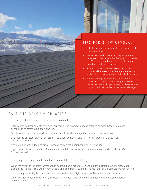

on your deck, at the risk of permanent damage.

# SALT AND CALCIUM CHLORIDE

#### Choosing the best ice melt product

- º If the winter weather has left your deck slippery or ice-covered, choose calcium chloride-based "ice melt" or rock salt to remove the snow and ice.
- º Don't use sand as it is naturally abrasive and could easily damage the surface of the deck boards.
- º Look for the phrases "safe for concrete," "safe for flagstone," and "will not kill grass" in the ice melt product description.
- º Avoid ice melt with added colorant. These dyes can stain composite or PVC decking.
- º If you have children or pets that frequent your deck in the winter, ensure your chosen product will be safe for them as well.

#### Cleaning up ice melt debris quickly and easily

- º When the threat of inclement weather has passed, use a broom to sweep up any existing granular pieces and discard the ice melt. This will prevent people and pets from tracking in ice melt that could damage indoor flooring.
- º Remove any remaining buildup of ice melt with water and a light scrubbing. Use a non-metal deck brush.
- º When warmer temperatures return, it's best to rinse your deck with a garden hose to remove any stubborn leftover debris.

CARE AND MAINTENANCE — 5 — CLEANING YOUR DECK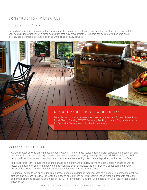# CONSTRUCTION MATERIALS

#### Construction Chalk

Colored chalk used in construction for marking straight lines prior to cutting is permanent on most surfaces. Contact the specific chalk manufacturer for a cleaning solution that may prove effective. The best advice is to avoid colored chalk. Instead, use a workable alternative such as white chalk or baby powder.



#### Masonry Construction

- º Always protect decking during masonry construction. White or hazy residue from mineral deposits (efflorescence) can leach out of stone and masonry material after water evaporates, leaving the deposits behind. Minerals from soils in certain arid and mountainous environments can also cause a hazing affect when deposited on the deck surface.
- º To prevent this, either cover the decking surface completely and securely during the construction phase or wait to install the decking until after masonry construction has been completed. To minimize this effect during masonry construction, keep materials dry and allow masonry and cement to cure properly.
- º For mineral deposits left on the decking surface, periodic cleaning is required. Use mild soap or a composite decking cleaner, and be sure to follow the label instructions carefully. Do not mix recommended cleaning products together as harmful chemical reactions could occur. NOTE: For Symmetry® Decking, use a soft nylon deck brush, not a brass bristle brush.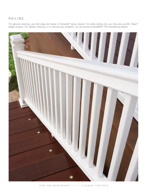# RAILING

For general cleaning, use mild soap and water or Fantastik® spray cleaner. For white railing only, you may also use Mr. Clean® Magic Erasers. For deeper cleaning, or to remove any oxidation, we recommend DeckMAX® PVC Revitalizing Wipes.

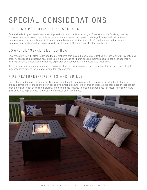# SPECIAL CONSIDERATIONS

# FIRE AND POTENTIAL HEAT SOURCES

Composite decking will retain heat when exposed to direct or reflective sunlight. Exercise caution if walking barefoot. Footwear may be required. Heat build-up from external sources could possibly damage Fiberon decking surfaces. Examples would include reflected light from different types of glass (ex. low-e glass), fire features, and under-deck waterproofing installations that do not provide the 1.5 inches (4 cm) of unobstructed ventilation.

# LOW-F GLASS/REFLECTED HEAT

Low-emissivity (Low-E) glass is designed to prevent heat gain inside the house by reflecting sunlight outward. This reflective property can result in excessive heat build-up on the surface of Fiberon decking. Damage caused could include melting, sagging, warping, discoloration, increased expansion and contraction, and accelerated weathering.

If you have questions on how to reduce this risk, contact the manufacturer of the product containing the Low-E glass for suggestions on how to reduce or eliminate the reflected heat.

# FIRE FEATURES/FIRE PITS AND GRILLS

Fire features and fire pits are increasingly popular in outdoor living environments. Improperly installed fire features or fire pits can damage the surface of Fiberon decking via direct exposure to the flame or excessive radiated heat. Proper caution should be taken when designing, installing, and using these features to ensure damage does not result. Fire features and grills should be kept at least 12 inches from the deck and rail surfaces.

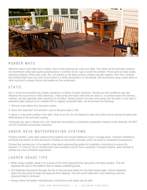

### R U B B E R M A T S

Welcome mats or grill mats with a rubber, vinyl or latex backing can mark your deck. The marks can be removed; however, we recommend using high-quality polypropylene or colorfast woven rugs to avoid the problem. Flower pots can also create potential problems. When pots, trays, etc., sit directly on the deck surface, moisture can get trapped. Over time, minerals and fertilizer/plant food can build up and result in a white discoloration on the boards. We recommend using a plant stand or other structure to elevate the pot and enable air flow underneath.

# S T A T I C

Dry or windy environments may create a temporary condition of static electricity. Climate and site conditions may also influence the occurrence of static electricity. Heat pumps and dryer vents that are close to, or pointed toward the decking material, can also generate static electricity on the deck. Always position the dryer vents away from the deck. In the case of excessive static buildup on an installed PVC or capped composite deck, we recommend the following:

- 1. Remove loose debris from the deck surface.
- 2. Dilute ACL Staticide® Concentrate 1 part to 39 parts water (1:39).

3. Spray or mop entire surface of the deck. Allow to air dry. Do not attempt to wipe the surface dry as wiping will reduce the effectiveness of the anti-static coating.

(\*Although very safe in diluted form, ACL Staticide Concentrate is considered a hazardous chemical if left undiluted. DO NOT use ACL Staticide Concentrate undiluted.)

# U N D E R - D E C K W A T E R P R O O F I N G S Y S T E M S

Properly installed, under-deck waterproofing systems can provide additional living or storage space. Improper installations are those that restrict air flow and result in buildup of heat and/or humidity, which can result in unwanted consequences.

Contact the manufacturer of the specific under-deck waterproofing system for installation instructions to ensure the required 1.5 inches (4 cm) of unobstructed cross-ventilation and air flow is achieved. If already installed, seek methods to achieve the cross-ventilation requirement.

# LADDER USAGE TIPS

- º When using a ladder, place it on a piece of 3/4-inch plywood firmly secured to the deck surface. This will disperse the load of the ladder's feet to nearby underlying joists.
- º Drill fasteners downward through the top of the plywood sheet into the deck board gaps. Ensure fasteners reach into the joists to keep the plywood from slipping. This will avoid holes left in your decking once the plywood sheet is removed.
- º Always follow the ladder manufacturer's instructions and safety tips as well.